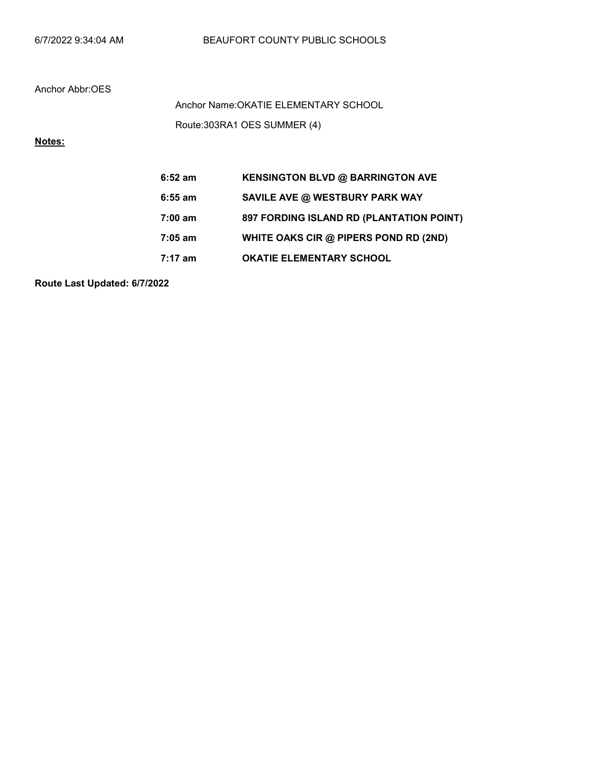Route:303RA1 OES SUMMER (4) Anchor Name:OKATIE ELEMENTARY SCHOOL

## Notes:

| $6:52$ am | <b>KENSINGTON BLVD @ BARRINGTON AVE</b>  |
|-----------|------------------------------------------|
| $6:55$ am | SAVILE AVE @ WESTBURY PARK WAY           |
| 7:00 am   | 897 FORDING ISLAND RD (PLANTATION POINT) |
| 7:05 am   | WHITE OAKS CIR @ PIPERS POND RD (2ND)    |
| 7:17 am   | <b>OKATIE ELEMENTARY SCHOOL</b>          |

Route Last Updated: 6/7/2022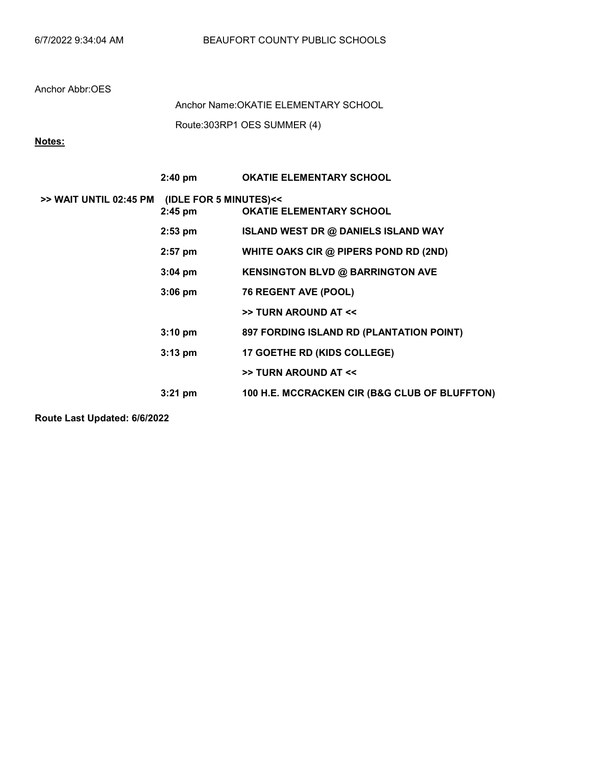Route:303RP1 OES SUMMER (4) Anchor Name:OKATIE ELEMENTARY SCHOOL

Notes:

|                        | $2:40 \text{ pm}$                   | <b>OKATIE ELEMENTARY SCHOOL</b>               |
|------------------------|-------------------------------------|-----------------------------------------------|
| >> WAIT UNTIL 02:45 PM | (IDLE FOR 5 MINUTES)<<<br>$2:45$ pm | <b>OKATIE ELEMENTARY SCHOOL</b>               |
|                        | $2:53$ pm                           | <b>ISLAND WEST DR @ DANIELS ISLAND WAY</b>    |
|                        | $2:57$ pm                           | WHITE OAKS CIR @ PIPERS POND RD (2ND)         |
|                        | $3:04$ pm                           | <b>KENSINGTON BLVD @ BARRINGTON AVE</b>       |
|                        | $3:06$ pm                           | 76 REGENT AVE (POOL)                          |
|                        |                                     | >> TURN AROUND AT <<                          |
|                        | $3:10$ pm                           | 897 FORDING ISLAND RD (PLANTATION POINT)      |
|                        | $3:13$ pm                           | <b>17 GOETHE RD (KIDS COLLEGE)</b>            |
|                        |                                     | >> TURN AROUND AT <<                          |
|                        | $3:21 \text{ pm}$                   | 100 H.E. MCCRACKEN CIR (B&G CLUB OF BLUFFTON) |

Route Last Updated: 6/6/2022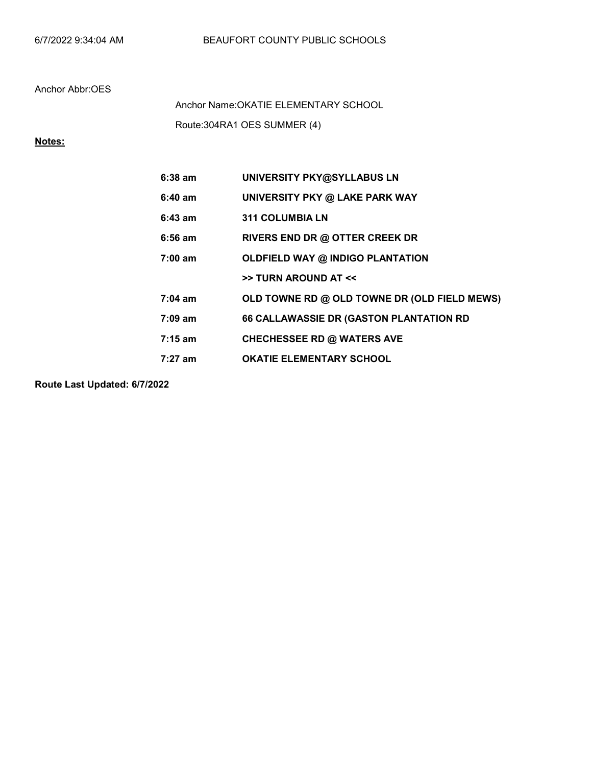Route:304RA1 OES SUMMER (4) Anchor Name:OKATIE ELEMENTARY SCHOOL

## Notes:

| $6:38$ am         | UNIVERSITY PKY@SYLLABUS LN                   |
|-------------------|----------------------------------------------|
| $6:40$ am         | UNIVERSITY PKY @ LAKE PARK WAY               |
| $6:43$ am         | <b>311 COLUMBIA LN</b>                       |
| $6:56$ am         | RIVERS END DR @ OTTER CREEK DR               |
| $7:00 \text{ am}$ | <b>OLDFIELD WAY @ INDIGO PLANTATION</b>      |
|                   | >> TURN AROUND AT <<                         |
| $7:04 \text{ am}$ | OLD TOWNE RD @ OLD TOWNE DR (OLD FIELD MEWS) |
| $7:09 \text{ am}$ | 66 CALLAWASSIE DR (GASTON PLANTATION RD      |
| $7:15 \text{ am}$ | <b>CHECHESSEE RD @ WATERS AVE</b>            |
| 7:27 am           | <b>OKATIE ELEMENTARY SCHOOL</b>              |

Route Last Updated: 6/7/2022